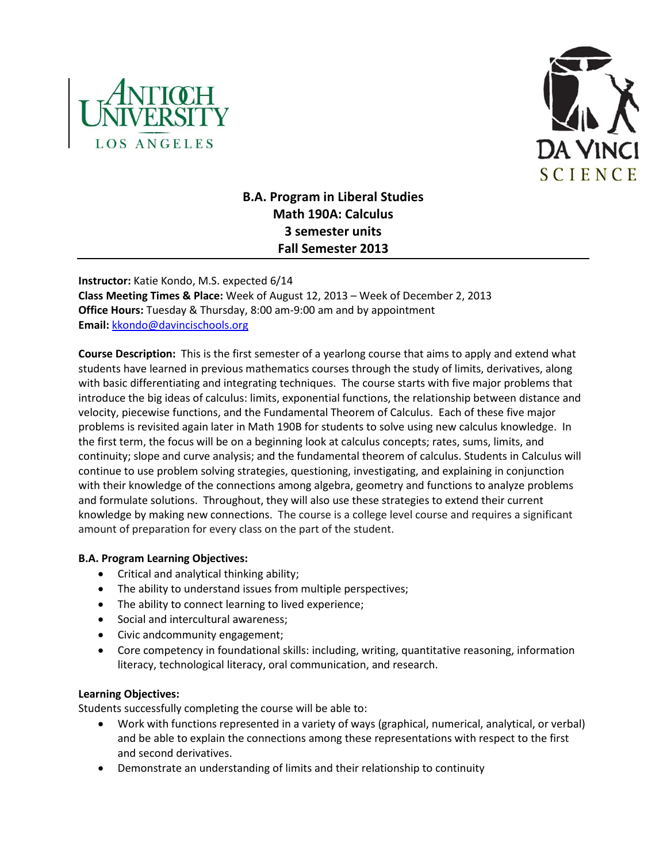



# **B.A. Program in Liberal Studies Math 190A: Calculus 3 semester units Fall Semester 2013**

**Instructor:** Katie Kondo, M.S. expected 6/14 **Class Meeting Times & Place:** Week of August 12, 2013 – Week of December 2, 2013 **Office Hours:** Tuesday & Thursday, 8:00 am-9:00 am and by appointment **Email:** [kkondo@davincischools.org](mailto:kkondo@davincischools.org)

**Course Description:** This is the first semester of a yearlong course that aims to apply and extend what students have learned in previous mathematics courses through the study of limits, derivatives, along with basic differentiating and integrating techniques. The course starts with five major problems that introduce the big ideas of calculus: limits, exponential functions, the relationship between distance and velocity, piecewise functions, and the Fundamental Theorem of Calculus. Each of these five major problems is revisited again later in Math 190B for students to solve using new calculus knowledge. In the first term, the focus will be on a beginning look at calculus concepts; rates, sums, limits, and continuity; slope and curve analysis; and the fundamental theorem of calculus. Students in Calculus will continue to use problem solving strategies, questioning, investigating, and explaining in conjunction with their knowledge of the connections among algebra, geometry and functions to analyze problems and formulate solutions. Throughout, they will also use these strategies to extend their current knowledge by making new connections. The course is a college level course and requires a significant amount of preparation for every class on the part of the student.

# **B.A. Program Learning Objectives:**

- Critical and analytical thinking ability;
- The ability to understand issues from multiple perspectives;
- The ability to connect learning to lived experience;
- Social and intercultural awareness;
- Civic andcommunity engagement;
- Core competency in foundational skills: including, writing, quantitative reasoning, information literacy, technological literacy, oral communication, and research.

# **Learning Objectives:**

Students successfully completing the course will be able to:

- Work with functions represented in a variety of ways (graphical, numerical, analytical, or verbal) and be able to explain the connections among these representations with respect to the first and second derivatives.
- Demonstrate an understanding of limits and their relationship to continuity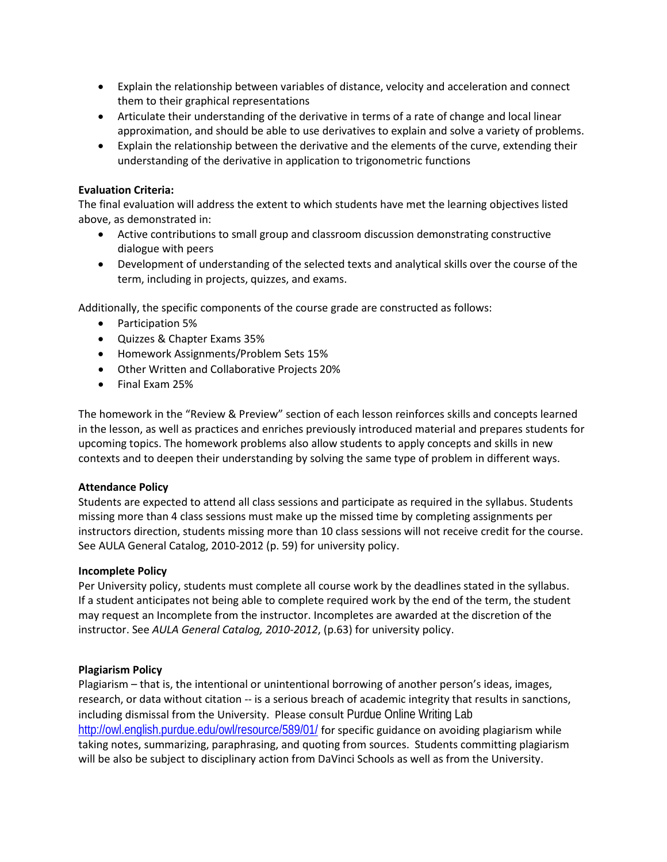- Explain the relationship between variables of distance, velocity and acceleration and connect them to their graphical representations
- Articulate their understanding of the derivative in terms of a rate of change and local linear approximation, and should be able to use derivatives to explain and solve a variety of problems.
- Explain the relationship between the derivative and the elements of the curve, extending their understanding of the derivative in application to trigonometric functions

## **Evaluation Criteria:**

The final evaluation will address the extent to which students have met the learning objectives listed above, as demonstrated in:

- Active contributions to small group and classroom discussion demonstrating constructive dialogue with peers
- Development of understanding of the selected texts and analytical skills over the course of the term, including in projects, quizzes, and exams.

Additionally, the specific components of the course grade are constructed as follows:

- Participation 5%
- Quizzes & Chapter Exams 35%
- Homework Assignments/Problem Sets 15%
- Other Written and Collaborative Projects 20%
- Final Exam 25%

The homework in the "Review & Preview" section of each lesson reinforces skills and concepts learned in the lesson, as well as practices and enriches previously introduced material and prepares students for upcoming topics. The homework problems also allow students to apply concepts and skills in new contexts and to deepen their understanding by solving the same type of problem in different ways.

# **Attendance Policy**

Students are expected to attend all class sessions and participate as required in the syllabus. Students missing more than 4 class sessions must make up the missed time by completing assignments per instructors direction, students missing more than 10 class sessions will not receive credit for the course. See AULA General Catalog, 2010-2012 (p. 59) for university policy.

#### **Incomplete Policy**

Per University policy, students must complete all course work by the deadlines stated in the syllabus. If a student anticipates not being able to complete required work by the end of the term, the student may request an Incomplete from the instructor. Incompletes are awarded at the discretion of the instructor. See *AULA General Catalog, 2010-2012*, (p.63) for university policy.

# **Plagiarism Policy**

Plagiarism – that is, the intentional or unintentional borrowing of another person's ideas, images, research, or data without citation -- is a serious breach of academic integrity that results in sanctions, including dismissal from the University. Please consult Purdue Online Writing Lab <http://owl.english.purdue.edu/owl/resource/589/01/> for specific guidance on avoiding plagiarism while taking notes, summarizing, paraphrasing, and quoting from sources. Students committing plagiarism will be also be subject to disciplinary action from DaVinci Schools as well as from the University.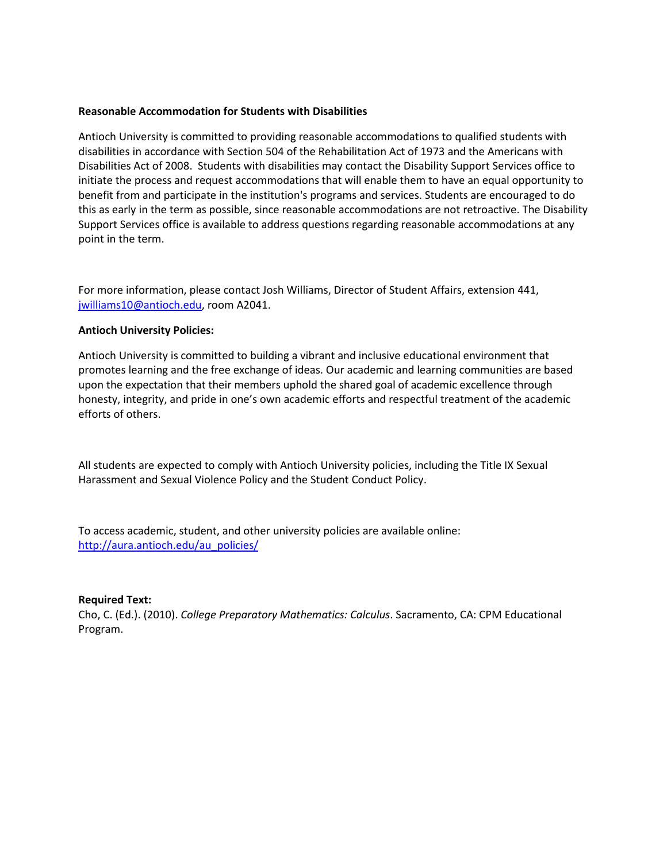#### **Reasonable Accommodation for Students with Disabilities**

Antioch University is committed to providing reasonable accommodations to qualified students with disabilities in accordance with Section 504 of the Rehabilitation Act of 1973 and the Americans with Disabilities Act of 2008. Students with disabilities may contact the Disability Support Services office to initiate the process and request accommodations that will enable them to have an equal opportunity to benefit from and participate in the institution's programs and services. Students are encouraged to do this as early in the term as possible, since reasonable accommodations are not retroactive. The Disability Support Services office is available to address questions regarding reasonable accommodations at any point in the term.

For more information, please contact Josh Williams, Director of Student Affairs, extension 441, [jwilliams10@antioch.edu,](mailto:jwilliams10@antioch.edu) room A2041.

### **Antioch University Policies:**

Antioch University is committed to building a vibrant and inclusive educational environment that promotes learning and the free exchange of ideas. Our academic and learning communities are based upon the expectation that their members uphold the shared goal of academic excellence through honesty, integrity, and pride in one's own academic efforts and respectful treatment of the academic efforts of others.

All students are expected to comply with Antioch University policies, including the Title IX Sexual Harassment and Sexual Violence Policy and the Student Conduct Policy.

To access academic, student, and other university policies are available online: [http://aura.antioch.edu/au\\_policies/](http://aura.antioch.edu/au_policies/)

#### **Required Text:**

Cho, C. (Ed.). (2010). *College Preparatory Mathematics: Calculus*. Sacramento, CA: CPM Educational Program.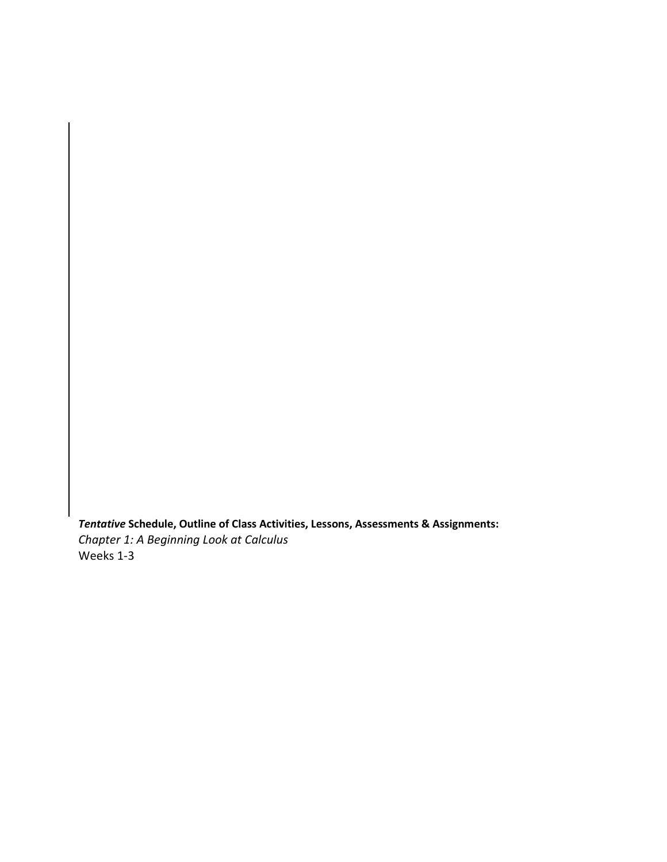*Tentative* **Schedule, Outline of Class Activities, Lessons, Assessments & Assignments:** *Chapter 1: A Beginning Look at Calculus* Weeks 1-3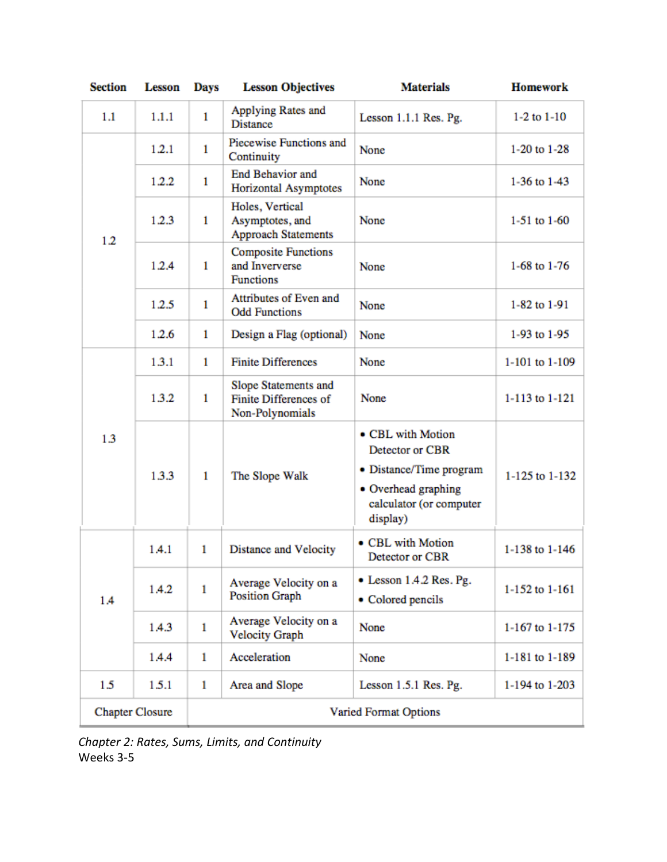| <b>Section</b>         | <b>Lesson</b> | <b>Days</b>           | <b>Lesson Objectives</b>                                                | <b>Materials</b>                                                                                                              | <b>Homework</b>  |
|------------------------|---------------|-----------------------|-------------------------------------------------------------------------|-------------------------------------------------------------------------------------------------------------------------------|------------------|
| 1.1                    | 1.1.1         | $\mathbf{1}$          | Applying Rates and<br><b>Distance</b>                                   | Lesson 1.1.1 Res. Pg.                                                                                                         | $1-2$ to $1-10$  |
| 1.2                    | 1.2.1         | $\mathbf{1}$          | Piecewise Functions and<br>Continuity                                   | None                                                                                                                          | 1-20 to 1-28     |
|                        | 1.2.2         | 1                     | <b>End Behavior and</b><br>Horizontal Asymptotes                        | None                                                                                                                          | 1-36 to 1-43     |
|                        | 1.2.3         | 1                     | Holes, Vertical<br>Asymptotes, and<br><b>Approach Statements</b>        | None                                                                                                                          | $1-51$ to $1-60$ |
|                        | 1.2.4         | $\mathbf{1}$          | <b>Composite Functions</b><br>and Inververse<br><b>Functions</b>        | None                                                                                                                          | 1-68 to $1-76$   |
|                        | 1.2.5         | 1                     | Attributes of Even and<br><b>Odd Functions</b>                          | None                                                                                                                          | 1-82 to 1-91     |
|                        | 1.2.6         | 1                     | Design a Flag (optional)                                                | None                                                                                                                          | 1-93 to 1-95     |
| 1.3                    | 1.3.1         | 1                     | <b>Finite Differences</b>                                               | None                                                                                                                          | 1-101 to 1-109   |
|                        | 1.3.2         | 1                     | Slope Statements and<br><b>Finite Differences of</b><br>Non-Polynomials | None                                                                                                                          | 1-113 to 1-121   |
|                        | 1.3.3         | 1                     | The Slope Walk                                                          | • CBL with Motion<br>Detector or CBR<br>• Distance/Time program<br>• Overhead graphing<br>calculator (or computer<br>display) | 1-125 to 1-132   |
| 1.4                    | 1.4.1         | 1                     | Distance and Velocity                                                   | • CBL with Motion<br>Detector or CBR                                                                                          | 1-138 to 1-146   |
|                        | 1.4.2         | 1                     | Average Velocity on a<br><b>Position Graph</b>                          | • Lesson 1.4.2 Res. Pg.<br>• Colored pencils                                                                                  | 1-152 to 1-161   |
|                        | 1.4.3         | $\mathbf{1}$          | Average Velocity on a<br><b>Velocity Graph</b>                          | None                                                                                                                          | 1-167 to 1-175   |
|                        | 1.4.4         | 1                     | Acceleration                                                            | None                                                                                                                          | 1-181 to 1-189   |
| 1.5                    | 1.5.1         | 1                     | Area and Slope                                                          | Lesson 1.5.1 Res. Pg.                                                                                                         | 1-194 to 1-203   |
| <b>Chapter Closure</b> |               | Varied Format Options |                                                                         |                                                                                                                               |                  |

*Chapter 2: Rates, Sums, Limits, and Continuity* Weeks 3-5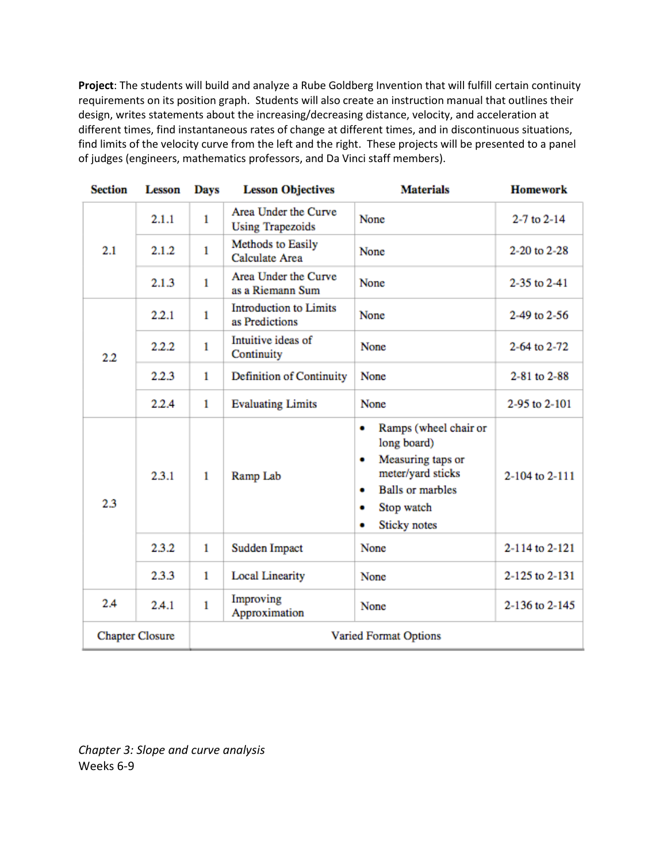**Project**: The students will build and analyze a Rube Goldberg Invention that will fulfill certain continuity requirements on its position graph. Students will also create an instruction manual that outlines their design, writes statements about the increasing/decreasing distance, velocity, and acceleration at different times, find instantaneous rates of change at different times, and in discontinuous situations, find limits of the velocity curve from the left and the right. These projects will be presented to a panel of judges (engineers, mathematics professors, and Da Vinci staff members).

| <b>Section</b>         | <b>Lesson</b> | <b>Days</b>           | <b>Lesson Objectives</b>                        | <b>Materials</b>                                                                                                                                                        | <b>Homework</b>     |
|------------------------|---------------|-----------------------|-------------------------------------------------|-------------------------------------------------------------------------------------------------------------------------------------------------------------------------|---------------------|
| 2.1                    | 2.1.1         | $\mathbf{1}$          | Area Under the Curve<br><b>Using Trapezoids</b> | None                                                                                                                                                                    | $2 - 7$ to $2 - 14$ |
|                        | 2.1.2         | $\mathbf{1}$          | Methods to Easily<br><b>Calculate Area</b>      | None                                                                                                                                                                    | 2-20 to 2-28        |
|                        | 2.1.3         | $\mathbf{1}$          | Area Under the Curve<br>as a Riemann Sum        | None                                                                                                                                                                    | 2-35 to 2-41        |
| 2.2                    | 2.2.1         | $\mathbf{1}$          | <b>Introduction to Limits</b><br>as Predictions | None                                                                                                                                                                    | 2-49 to 2-56        |
|                        | 2.2.2         | $\mathbf{1}$          | Intuitive ideas of<br>Continuity                | <b>None</b>                                                                                                                                                             | 2-64 to 2-72        |
|                        | 2.2.3         | $\mathbf{1}$          | Definition of Continuity                        | None                                                                                                                                                                    | 2-81 to 2-88        |
|                        | 2.2.4         | $\mathbf{1}$          | <b>Evaluating Limits</b>                        | None                                                                                                                                                                    | 2-95 to 2-101       |
| 2.3                    | 2.3.1         | $\mathbf{1}$          | Ramp Lab                                        | Ramps (wheel chair or<br>٠<br>long board)<br>Measuring taps or<br>٠<br>meter/yard sticks<br><b>Balls or marbles</b><br>٠<br>Stop watch<br>۰<br><b>Sticky</b> notes<br>۰ | 2-104 to 2-111      |
|                        | 2.3.2         | $\mathbf{1}$          | Sudden Impact                                   | None                                                                                                                                                                    | 2-114 to 2-121      |
|                        | 2.3.3         | $\mathbf{1}$          | <b>Local Linearity</b>                          | None                                                                                                                                                                    | 2-125 to 2-131      |
| 2.4                    | 2.4.1         | $\mathbf{1}$          | Improving<br>Approximation                      | None                                                                                                                                                                    | 2-136 to 2-145      |
| <b>Chapter Closure</b> |               | Varied Format Options |                                                 |                                                                                                                                                                         |                     |

*Chapter 3: Slope and curve analysis* Weeks 6-9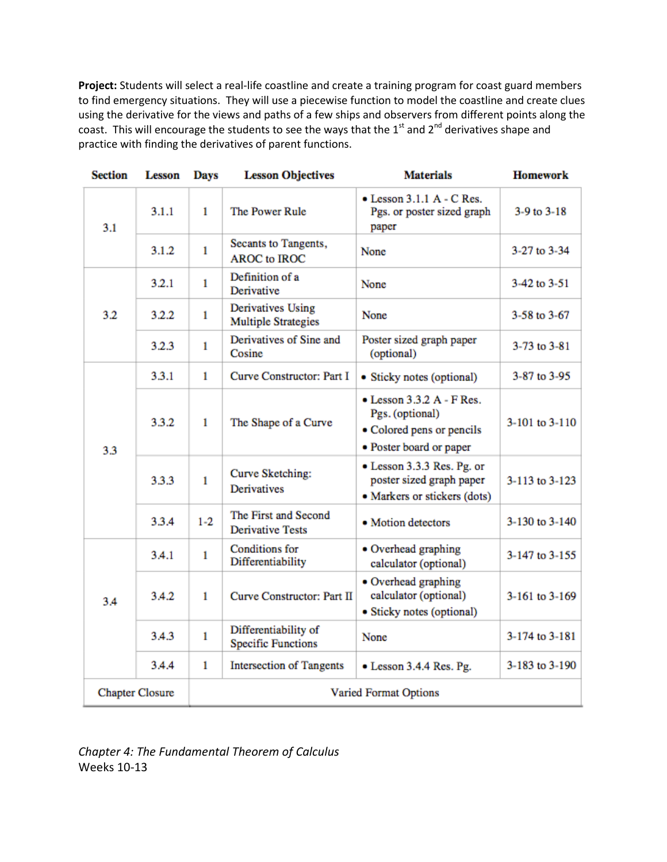**Project:** Students will select a real-life coastline and create a training program for coast guard members to find emergency situations. They will use a piecewise function to model the coastline and create clues using the derivative for the views and paths of a few ships and observers from different points along the coast. This will encourage the students to see the ways that the 1st and 2<sup>nd</sup> derivatives shape and practice with finding the derivatives of parent functions.

| <b>Section</b>         | <b>Lesson</b> | <b>Days</b>                  | <b>Lesson Objectives</b>                           | <b>Materials</b>                                                                                             | <b>Homework</b> |
|------------------------|---------------|------------------------------|----------------------------------------------------|--------------------------------------------------------------------------------------------------------------|-----------------|
| 3.1                    | 3.1.1         | $\mathbf{1}$                 | The Power Rule                                     | $\bullet$ Lesson 3.1.1 A - C Res.<br>Pgs. or poster sized graph<br>paper                                     | $3-9$ to $3-18$ |
|                        | 3.1.2         | $\mathbf{1}$                 | Secants to Tangents,<br><b>AROC</b> to <b>IROC</b> | None                                                                                                         | 3-27 to 3-34    |
| 3.2                    | 3.2.1         | 1                            | Definition of a<br>Derivative                      | None                                                                                                         | 3-42 to 3-51    |
|                        | 3.2.2         | $\mathbf{1}$                 | Derivatives Using<br><b>Multiple Strategies</b>    | None                                                                                                         | 3-58 to 3-67    |
|                        | 3.2.3         | $\mathbf{1}$                 | Derivatives of Sine and<br>Cosine                  | Poster sized graph paper<br>(optional)                                                                       | 3-73 to 3-81    |
| 3.3                    | 3.3.1         | $\mathbf{1}$                 | Curve Constructor: Part I                          | • Sticky notes (optional)                                                                                    | 3-87 to 3-95    |
|                        | 3.3.2         | 1                            | The Shape of a Curve                               | $\bullet$ Lesson 3.3.2 A - F Res.<br>Pgs. (optional)<br>• Colored pens or pencils<br>• Poster board or paper | 3-101 to 3-110  |
|                        | 3.3.3         | $\mathbf{1}$                 | Curve Sketching:<br><b>Derivatives</b>             | • Lesson 3.3.3 Res. Pg. or<br>poster sized graph paper<br>• Markers or stickers (dots)                       | 3-113 to 3-123  |
|                        | 3.3.4         | $1 - 2$                      | The First and Second<br><b>Derivative Tests</b>    | • Motion detectors                                                                                           | 3-130 to 3-140  |
| 3.4                    | 3.4.1         | 1                            | <b>Conditions</b> for<br>Differentiability         | • Overhead graphing<br>calculator (optional)                                                                 | 3-147 to 3-155  |
|                        | 3.4.2         | $\mathbf{1}$                 | Curve Constructor: Part II                         | • Overhead graphing<br>calculator (optional)<br>· Sticky notes (optional)                                    | 3-161 to 3-169  |
|                        | 3.4.3         | $\mathbf{1}$                 | Differentiability of<br><b>Specific Functions</b>  | None                                                                                                         | 3-174 to 3-181  |
|                        | 3.4.4         | $\mathbf{1}$                 | <b>Intersection of Tangents</b>                    | • Lesson 3.4.4 Res. Pg.                                                                                      | 3-183 to 3-190  |
| <b>Chapter Closure</b> |               | <b>Varied Format Options</b> |                                                    |                                                                                                              |                 |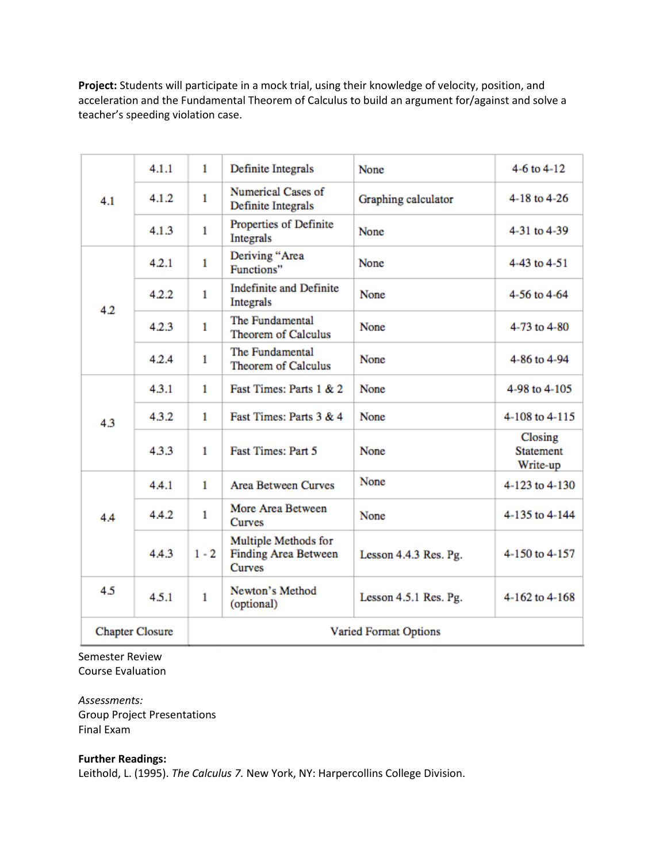**Project:** Students will participate in a mock trial, using their knowledge of velocity, position, and acceleration and the Fundamental Theorem of Calculus to build an argument for/against and solve a teacher's speeding violation case.

|                        | 4.1.1 | $\mathbf{1}$                 | Definite Integrals                                                   | None                  | 4-6 to $4-12$                           |
|------------------------|-------|------------------------------|----------------------------------------------------------------------|-----------------------|-----------------------------------------|
| 4.1                    | 4.1.2 | $\mathbf{1}$                 | Numerical Cases of<br>Definite Integrals                             | Graphing calculator   | 4-18 to 4-26                            |
| 4.2                    | 4.1.3 | $\mathbf{1}$                 | Properties of Definite<br>Integrals                                  | None                  | 4-31 to 4-39                            |
|                        | 4.2.1 | $\mathbf{1}$                 | Deriving "Area<br>Functions"                                         | None                  | 4-43 to 4-51                            |
|                        | 4.2.2 | $\mathbf{1}$                 | <b>Indefinite and Definite</b><br>Integrals                          | <b>None</b>           | 4-56 to 4-64                            |
|                        | 4.2.3 | $\mathbf{1}$                 | The Fundamental<br>Theorem of Calculus                               | <b>None</b>           | 4-73 to 4-80                            |
| 4.3                    | 4.2.4 | $\mathbf{1}$                 | The Fundamental<br><b>Theorem of Calculus</b>                        | None                  | 4-86 to 4-94                            |
|                        | 4.3.1 | 1                            | Fast Times: Parts 1 & 2                                              | None                  | 4-98 to 4-105                           |
|                        | 4.3.2 | $\mathbf{1}$                 | Fast Times: Parts 3 & 4                                              | <b>None</b>           | 4-108 to 4-115                          |
| 4.4                    | 4.3.3 | 1                            | Fast Times: Part 5                                                   | <b>None</b>           | Closing<br><b>Statement</b><br>Write-up |
|                        | 4.4.1 | $\mathbf{1}$                 | <b>Area Between Curves</b>                                           | None                  | 4-123 to 4-130                          |
|                        | 4.4.2 | $\mathbf{1}$                 | More Area Between<br><b>Curves</b>                                   | None                  | 4-135 to 4-144                          |
|                        | 4.4.3 | $1 - 2$                      | Multiple Methods for<br><b>Finding Area Between</b><br><b>Curves</b> | Lesson 4.4.3 Res. Pg. | 4-150 to 4-157                          |
| 4.5                    | 4.5.1 | 1                            | Newton's Method<br>(optional)                                        | Lesson 4.5.1 Res. Pg. | 4-162 to 4-168                          |
| <b>Chapter Closure</b> |       | <b>Varied Format Options</b> |                                                                      |                       |                                         |

Semester Review Course Evaluation

*Assessments:* Group Project Presentations Final Exam

#### **Further Readings:**

Leithold, L. (1995). *The Calculus 7.* New York, NY: Harpercollins College Division.